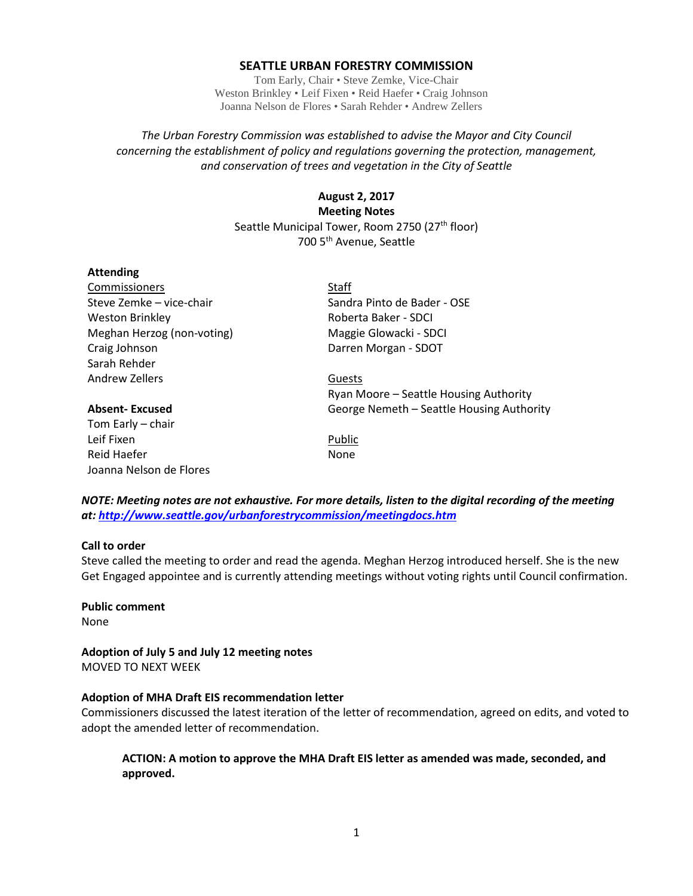#### **SEATTLE URBAN FORESTRY COMMISSION**

Tom Early, Chair • Steve Zemke, Vice-Chair Weston Brinkley • Leif Fixen • Reid Haefer • Craig Johnson Joanna Nelson de Flores • Sarah Rehder • Andrew Zellers

### *The Urban Forestry Commission was established to advise the Mayor and City Council concerning the establishment of policy and regulations governing the protection, management, and conservation of trees and vegetation in the City of Seattle*

## **August 2, 2017 Meeting Notes** Seattle Municipal Tower, Room 2750 (27<sup>th</sup> floor) 700 5th Avenue, Seattle

#### **Attending**

Commissioners Staff Weston Brinkley **Roberta Baker - SDCI** Meghan Herzog (non-voting) Maggie Glowacki - SDCI Craig Johnson Darren Morgan - SDOT Sarah Rehder Andrew Zellers **Guests** 

Tom Early – chair Leif Fixen **Public** Reid Haefer None Joanna Nelson de Flores

Steve Zemke – vice-chair Sandra Pinto de Bader - OSE

# Ryan Moore – Seattle Housing Authority **Absent- Excused** George Nemeth – Seattle Housing Authority

*NOTE: Meeting notes are not exhaustive. For more details, listen to the digital recording of the meeting at:<http://www.seattle.gov/urbanforestrycommission/meetingdocs.htm>*

#### **Call to order**

Steve called the meeting to order and read the agenda. Meghan Herzog introduced herself. She is the new Get Engaged appointee and is currently attending meetings without voting rights until Council confirmation.

#### **Public comment**

None

**Adoption of July 5 and July 12 meeting notes** MOVED TO NEXT WEEK

#### **Adoption of MHA Draft EIS recommendation letter**

Commissioners discussed the latest iteration of the letter of recommendation, agreed on edits, and voted to adopt the amended letter of recommendation.

### **ACTION: A motion to approve the MHA Draft EIS letter as amended was made, seconded, and approved.**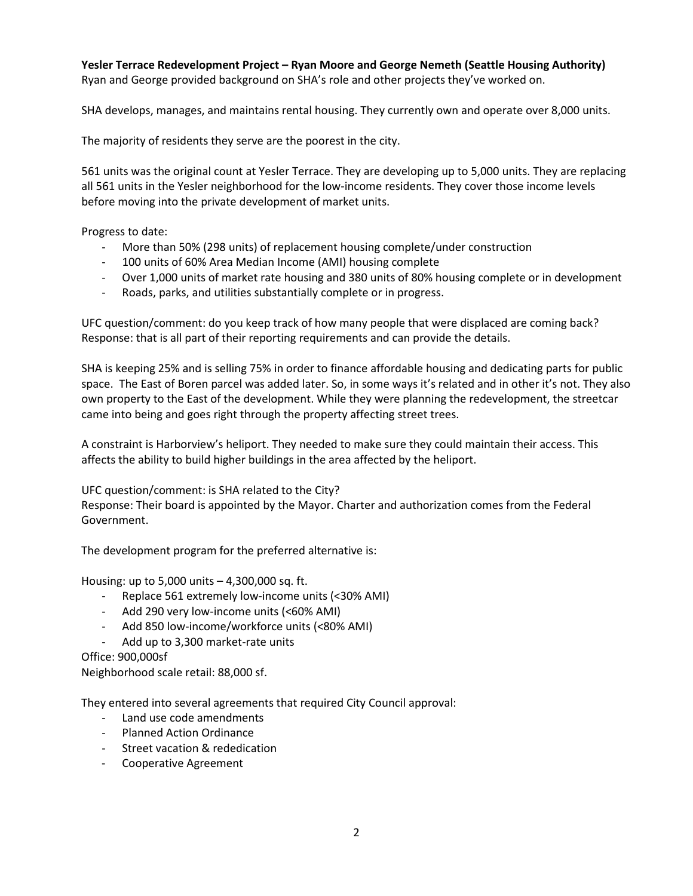# **Yesler Terrace Redevelopment Project – Ryan Moore and George Nemeth (Seattle Housing Authority)**

Ryan and George provided background on SHA's role and other projects they've worked on.

SHA develops, manages, and maintains rental housing. They currently own and operate over 8,000 units.

The majority of residents they serve are the poorest in the city.

561 units was the original count at Yesler Terrace. They are developing up to 5,000 units. They are replacing all 561 units in the Yesler neighborhood for the low-income residents. They cover those income levels before moving into the private development of market units.

Progress to date:

- More than 50% (298 units) of replacement housing complete/under construction
- 100 units of 60% Area Median Income (AMI) housing complete
- Over 1,000 units of market rate housing and 380 units of 80% housing complete or in development
- Roads, parks, and utilities substantially complete or in progress.

UFC question/comment: do you keep track of how many people that were displaced are coming back? Response: that is all part of their reporting requirements and can provide the details.

SHA is keeping 25% and is selling 75% in order to finance affordable housing and dedicating parts for public space. The East of Boren parcel was added later. So, in some ways it's related and in other it's not. They also own property to the East of the development. While they were planning the redevelopment, the streetcar came into being and goes right through the property affecting street trees.

A constraint is Harborview's heliport. They needed to make sure they could maintain their access. This affects the ability to build higher buildings in the area affected by the heliport.

UFC question/comment: is SHA related to the City?

Response: Their board is appointed by the Mayor. Charter and authorization comes from the Federal Government.

The development program for the preferred alternative is:

Housing: up to 5,000 units – 4,300,000 sq. ft.

- Replace 561 extremely low-income units (<30% AMI)
- Add 290 very low-income units (<60% AMI)
- Add 850 low-income/workforce units (<80% AMI)
- Add up to 3,300 market-rate units

Office: 900,000sf

Neighborhood scale retail: 88,000 sf.

They entered into several agreements that required City Council approval:

- Land use code amendments
- Planned Action Ordinance
- Street vacation & rededication
- Cooperative Agreement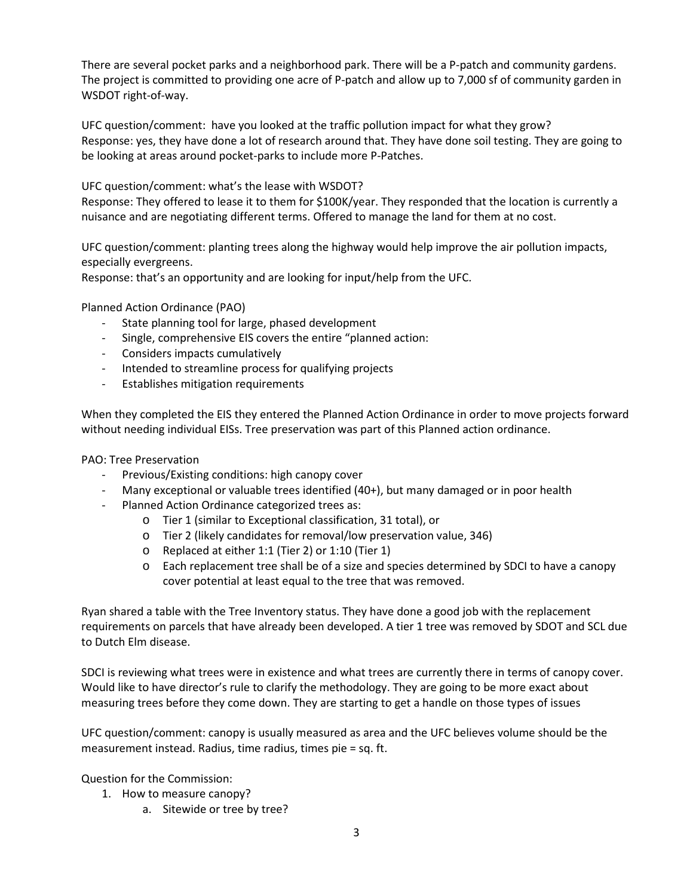There are several pocket parks and a neighborhood park. There will be a P-patch and community gardens. The project is committed to providing one acre of P-patch and allow up to 7,000 sf of community garden in WSDOT right-of-way.

UFC question/comment: have you looked at the traffic pollution impact for what they grow? Response: yes, they have done a lot of research around that. They have done soil testing. They are going to be looking at areas around pocket-parks to include more P-Patches.

UFC question/comment: what's the lease with WSDOT?

Response: They offered to lease it to them for \$100K/year. They responded that the location is currently a nuisance and are negotiating different terms. Offered to manage the land for them at no cost.

UFC question/comment: planting trees along the highway would help improve the air pollution impacts, especially evergreens.

Response: that's an opportunity and are looking for input/help from the UFC.

Planned Action Ordinance (PAO)

- State planning tool for large, phased development
- Single, comprehensive EIS covers the entire "planned action:
- Considers impacts cumulatively
- Intended to streamline process for qualifying projects
- Establishes mitigation requirements

When they completed the EIS they entered the Planned Action Ordinance in order to move projects forward without needing individual EISs. Tree preservation was part of this Planned action ordinance.

#### PAO: Tree Preservation

- Previous/Existing conditions: high canopy cover
- Many exceptional or valuable trees identified  $(40+)$ , but many damaged or in poor health
- Planned Action Ordinance categorized trees as:
	- o Tier 1 (similar to Exceptional classification, 31 total), or
	- o Tier 2 (likely candidates for removal/low preservation value, 346)
	- o Replaced at either 1:1 (Tier 2) or 1:10 (Tier 1)
	- o Each replacement tree shall be of a size and species determined by SDCI to have a canopy cover potential at least equal to the tree that was removed.

Ryan shared a table with the Tree Inventory status. They have done a good job with the replacement requirements on parcels that have already been developed. A tier 1 tree was removed by SDOT and SCL due to Dutch Elm disease.

SDCI is reviewing what trees were in existence and what trees are currently there in terms of canopy cover. Would like to have director's rule to clarify the methodology. They are going to be more exact about measuring trees before they come down. They are starting to get a handle on those types of issues

UFC question/comment: canopy is usually measured as area and the UFC believes volume should be the measurement instead. Radius, time radius, times pie = sq. ft.

Question for the Commission:

- 1. How to measure canopy?
	- a. Sitewide or tree by tree?